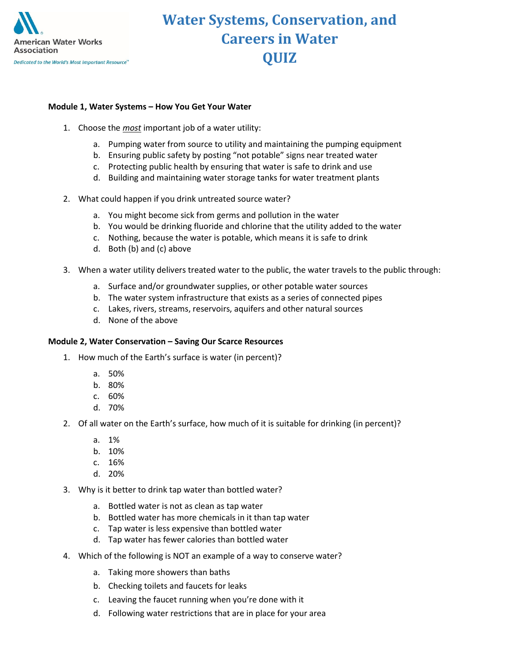

# **Water Systems, Conservation, and Careers in Water QUIZ**

#### **Module 1, Water Systems – How You Get Your Water**

- 1. Choose the *most* important job of a water utility:
	- a. Pumping water from source to utility and maintaining the pumping equipment
	- b. Ensuring public safety by posting "not potable" signs near treated water
	- c. Protecting public health by ensuring that water is safe to drink and use
	- d. Building and maintaining water storage tanks for water treatment plants
- 2. What could happen if you drink untreated source water?
	- a. You might become sick from germs and pollution in the water
	- b. You would be drinking fluoride and chlorine that the utility added to the water
	- c. Nothing, because the water is potable, which means it is safe to drink
	- d. Both (b) and (c) above
- 3. When a water utility delivers treated water to the public, the water travels to the public through:
	- a. Surface and/or groundwater supplies, or other potable water sources
	- b. The water system infrastructure that exists as a series of connected pipes
	- c. Lakes, rivers, streams, reservoirs, aquifers and other natural sources
	- d. None of the above

#### **Module 2, Water Conservation – Saving Our Scarce Resources**

- 1. How much of the Earth's surface is water (in percent)?
	- a. 50%
	- b. 80%
	- c. 60%
	- d. 70%
- 2. Of all water on the Earth's surface, how much of it is suitable for drinking (in percent)?
	- a. 1%
	- b. 10%
	- c. 16%
	- d. 20%
- 3. Why is it better to drink tap water than bottled water?
	- a. Bottled water is not as clean as tap water
	- b. Bottled water has more chemicals in it than tap water
	- c. Tap water is less expensive than bottled water
	- d. Tap water has fewer calories than bottled water
- 4. Which of the following is NOT an example of a way to conserve water?
	- a. Taking more showers than baths
	- b. Checking toilets and faucets for leaks
	- c. Leaving the faucet running when you're done with it
	- d. Following water restrictions that are in place for your area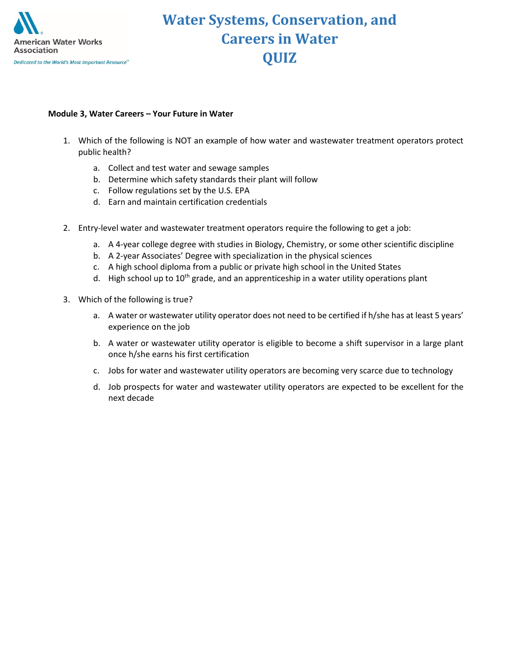

# **Water Systems, Conservation, and Careers in Water QUIZ**

### **Module 3, Water Careers – Your Future in Water**

- 1. Which of the following is NOT an example of how water and wastewater treatment operators protect public health?
	- a. Collect and test water and sewage samples
	- b. Determine which safety standards their plant will follow
	- c. Follow regulations set by the U.S. EPA
	- d. Earn and maintain certification credentials
- 2. Entry-level water and wastewater treatment operators require the following to get a job:
	- a. A 4-year college degree with studies in Biology, Chemistry, or some other scientific discipline
	- b. A 2-year Associates' Degree with specialization in the physical sciences
	- c. A high school diploma from a public or private high school in the United States
	- d. High school up to  $10^{th}$  grade, and an apprenticeship in a water utility operations plant
- 3. Which of the following is true?
	- a. A water or wastewater utility operator does not need to be certified if h/she has at least 5 years' experience on the job
	- b. A water or wastewater utility operator is eligible to become a shift supervisor in a large plant once h/she earns his first certification
	- c. Jobs for water and wastewater utility operators are becoming very scarce due to technology
	- d. Job prospects for water and wastewater utility operators are expected to be excellent for the next decade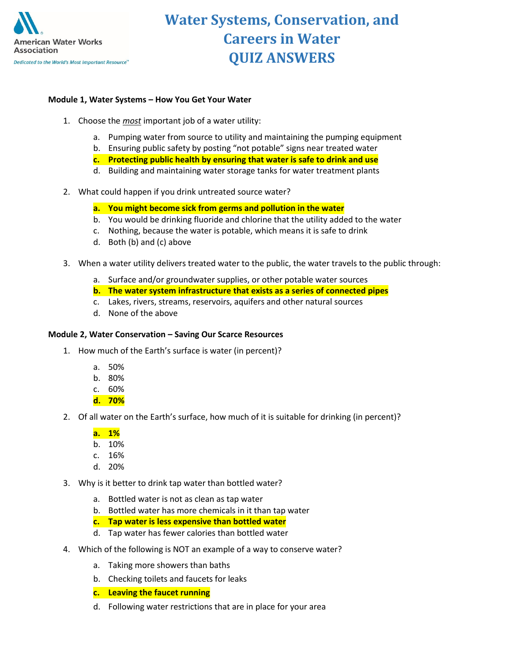

# **Water Systems, Conservation, and Careers in Water QUIZ ANSWERS**

#### **Module 1, Water Systems – How You Get Your Water**

- 1. Choose the *most* important job of a water utility:
	- a. Pumping water from source to utility and maintaining the pumping equipment
	- b. Ensuring public safety by posting "not potable" signs near treated water
	- **c. Protecting public health by ensuring that water is safe to drink and use**
	- d. Building and maintaining water storage tanks for water treatment plants
- 2. What could happen if you drink untreated source water?
	- **a. You might become sick from germs and pollution in the water**
	- b. You would be drinking fluoride and chlorine that the utility added to the water
	- c. Nothing, because the water is potable, which means it is safe to drink
	- d. Both (b) and (c) above
- 3. When a water utility delivers treated water to the public, the water travels to the public through:
	- a. Surface and/or groundwater supplies, or other potable water sources
	- **b. The water system infrastructure that exists as a series of connected pipes**
	- c. Lakes, rivers, streams, reservoirs, aquifers and other natural sources
	- d. None of the above

#### **Module 2, Water Conservation – Saving Our Scarce Resources**

- 1. How much of the Earth's surface is water (in percent)?
	- a. 50%
	- b. 80%
	- c. 60%
	- **d. 70%**
- 2. Of all water on the Earth's surface, how much of it is suitable for drinking (in percent)?
	- **a. 1%**
	- b. 10%
	- c. 16%
	- d. 20%
- 3. Why is it better to drink tap water than bottled water?
	- a. Bottled water is not as clean as tap water
	- b. Bottled water has more chemicals in it than tap water
	- **c. Tap water is less expensive than bottled water**
	- d. Tap water has fewer calories than bottled water
- 4. Which of the following is NOT an example of a way to conserve water?
	- a. Taking more showers than baths
	- b. Checking toilets and faucets for leaks
	- **c. Leaving the faucet running**
	- d. Following water restrictions that are in place for your area